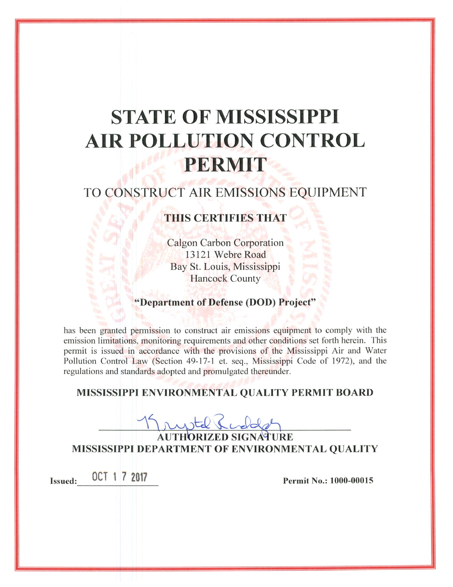# **STATE OF MISSISSIPPI AIR POLLUTION CONTROL PERMIT**

## TO CONSTRUCT AIR EMISSIONS EQUIPMENT

### **THIS CERTIFIES THAT**

**Calgon Carbon Corporation** 13121 Webre Road Bay St. Louis, Mississippi **Hancock County** 

#### "Department of Defense (DOD) Project"

has been granted permission to construct air emissions equipment to comply with the emission limitations, monitoring requirements and other conditions set forth herein. This permit is issued in accordance with the provisions of the Mississippi Air and Water Pollution Control Law (Section 49-17-1 et. seq., Mississippi Code of 1972), and the regulations and standards adopted and promulgated thereunder.

#### MISSISSIPPI ENVIRONMENTAL QUALITY PERMIT BOARD

**AUTHORIZED SIGNATURE** MISSISSIPPI DEPARTMENT OF ENVIRONMENTAL QUALITY

Issued: 0CT 1 7 2017

Permit No.: 1000-00015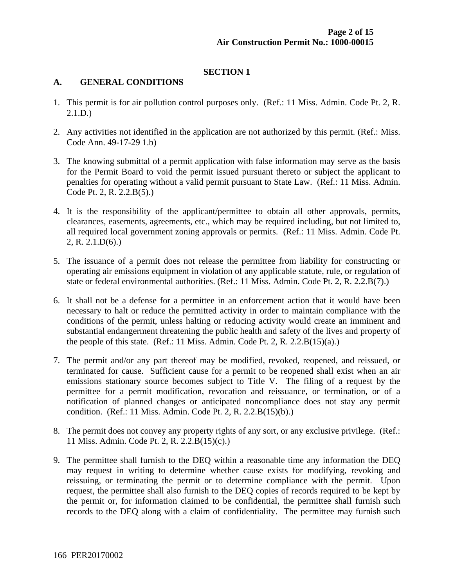#### **SECTION 1**

#### **A. GENERAL CONDITIONS**

- 1. This permit is for air pollution control purposes only. (Ref.: 11 Miss. Admin. Code Pt. 2, R. 2.1.D.)
- 2. Any activities not identified in the application are not authorized by this permit. (Ref.: Miss. Code Ann. 49-17-29 1.b)
- 3. The knowing submittal of a permit application with false information may serve as the basis for the Permit Board to void the permit issued pursuant thereto or subject the applicant to penalties for operating without a valid permit pursuant to State Law. (Ref.: 11 Miss. Admin. Code Pt. 2, R. 2.2.B(5).)
- 4. It is the responsibility of the applicant/permittee to obtain all other approvals, permits, clearances, easements, agreements, etc., which may be required including, but not limited to, all required local government zoning approvals or permits. (Ref.: 11 Miss. Admin. Code Pt. 2, R. 2.1.D(6).)
- 5. The issuance of a permit does not release the permittee from liability for constructing or operating air emissions equipment in violation of any applicable statute, rule, or regulation of state or federal environmental authorities. (Ref.: 11 Miss. Admin. Code Pt. 2, R. 2.2.B(7).)
- 6. It shall not be a defense for a permittee in an enforcement action that it would have been necessary to halt or reduce the permitted activity in order to maintain compliance with the conditions of the permit, unless halting or reducing activity would create an imminent and substantial endangerment threatening the public health and safety of the lives and property of the people of this state. (Ref.: 11 Miss. Admin. Code Pt. 2, R. 2.2. $B(15)(a)$ .)
- 7. The permit and/or any part thereof may be modified, revoked, reopened, and reissued, or terminated for cause. Sufficient cause for a permit to be reopened shall exist when an air emissions stationary source becomes subject to Title V. The filing of a request by the permittee for a permit modification, revocation and reissuance, or termination, or of a notification of planned changes or anticipated noncompliance does not stay any permit condition. (Ref.: 11 Miss. Admin. Code Pt. 2, R. 2.2.B(15)(b).)
- 8. The permit does not convey any property rights of any sort, or any exclusive privilege. (Ref.: 11 Miss. Admin. Code Pt. 2, R. 2.2.B(15)(c).)
- 9. The permittee shall furnish to the DEQ within a reasonable time any information the DEQ may request in writing to determine whether cause exists for modifying, revoking and reissuing, or terminating the permit or to determine compliance with the permit. Upon request, the permittee shall also furnish to the DEQ copies of records required to be kept by the permit or, for information claimed to be confidential, the permittee shall furnish such records to the DEQ along with a claim of confidentiality. The permittee may furnish such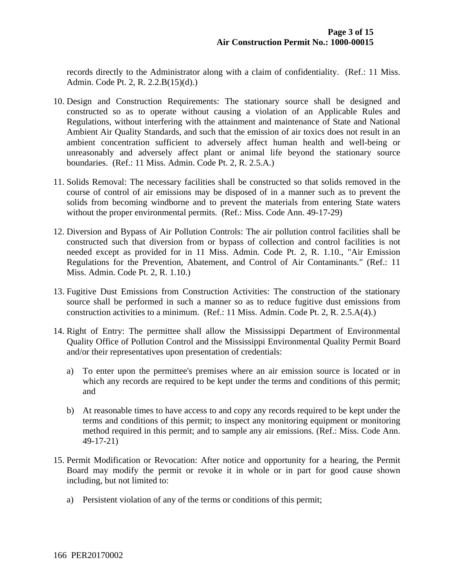records directly to the Administrator along with a claim of confidentiality. (Ref.: 11 Miss. Admin. Code Pt. 2, R. 2.2.B(15)(d).)

- 10. Design and Construction Requirements: The stationary source shall be designed and constructed so as to operate without causing a violation of an Applicable Rules and Regulations, without interfering with the attainment and maintenance of State and National Ambient Air Quality Standards, and such that the emission of air toxics does not result in an ambient concentration sufficient to adversely affect human health and well-being or unreasonably and adversely affect plant or animal life beyond the stationary source boundaries. (Ref.: 11 Miss. Admin. Code Pt. 2, R. 2.5.A.)
- 11. Solids Removal: The necessary facilities shall be constructed so that solids removed in the course of control of air emissions may be disposed of in a manner such as to prevent the solids from becoming windborne and to prevent the materials from entering State waters without the proper environmental permits. (Ref.: Miss. Code Ann. 49-17-29)
- 12. Diversion and Bypass of Air Pollution Controls: The air pollution control facilities shall be constructed such that diversion from or bypass of collection and control facilities is not needed except as provided for in 11 Miss. Admin. Code Pt. 2, R. 1.10., "Air Emission Regulations for the Prevention, Abatement, and Control of Air Contaminants." (Ref.: 11 Miss. Admin. Code Pt. 2, R. 1.10.)
- 13. Fugitive Dust Emissions from Construction Activities: The construction of the stationary source shall be performed in such a manner so as to reduce fugitive dust emissions from construction activities to a minimum. (Ref.: 11 Miss. Admin. Code Pt. 2, R. 2.5.A(4).)
- 14. Right of Entry: The permittee shall allow the Mississippi Department of Environmental Quality Office of Pollution Control and the Mississippi Environmental Quality Permit Board and/or their representatives upon presentation of credentials:
	- a) To enter upon the permittee's premises where an air emission source is located or in which any records are required to be kept under the terms and conditions of this permit; and
	- b) At reasonable times to have access to and copy any records required to be kept under the terms and conditions of this permit; to inspect any monitoring equipment or monitoring method required in this permit; and to sample any air emissions. (Ref.: Miss. Code Ann. 49-17-21)
- 15. Permit Modification or Revocation: After notice and opportunity for a hearing, the Permit Board may modify the permit or revoke it in whole or in part for good cause shown including, but not limited to:
	- a) Persistent violation of any of the terms or conditions of this permit;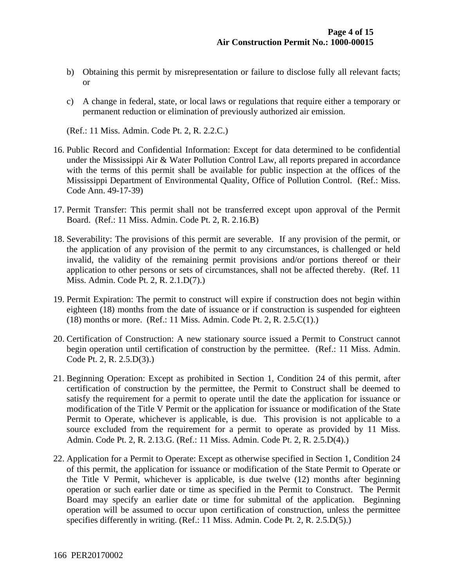- b) Obtaining this permit by misrepresentation or failure to disclose fully all relevant facts; or
- c) A change in federal, state, or local laws or regulations that require either a temporary or permanent reduction or elimination of previously authorized air emission.

(Ref.: 11 Miss. Admin. Code Pt. 2, R. 2.2.C.)

- 16. Public Record and Confidential Information: Except for data determined to be confidential under the Mississippi Air & Water Pollution Control Law, all reports prepared in accordance with the terms of this permit shall be available for public inspection at the offices of the Mississippi Department of Environmental Quality, Office of Pollution Control. (Ref.: Miss. Code Ann. 49-17-39)
- 17. Permit Transfer: This permit shall not be transferred except upon approval of the Permit Board. (Ref.: 11 Miss. Admin. Code Pt. 2, R. 2.16.B)
- 18. Severability: The provisions of this permit are severable. If any provision of the permit, or the application of any provision of the permit to any circumstances, is challenged or held invalid, the validity of the remaining permit provisions and/or portions thereof or their application to other persons or sets of circumstances, shall not be affected thereby. (Ref. 11 Miss. Admin. Code Pt. 2, R. 2.1.D(7).)
- 19. Permit Expiration: The permit to construct will expire if construction does not begin within eighteen (18) months from the date of issuance or if construction is suspended for eighteen (18) months or more. (Ref.: 11 Miss. Admin. Code Pt. 2, R. 2.5.C(1).)
- 20. Certification of Construction: A new stationary source issued a Permit to Construct cannot begin operation until certification of construction by the permittee. (Ref.: 11 Miss. Admin. Code Pt. 2, R. 2.5.D(3).)
- 21. Beginning Operation: Except as prohibited in Section 1, Condition 24 of this permit, after certification of construction by the permittee, the Permit to Construct shall be deemed to satisfy the requirement for a permit to operate until the date the application for issuance or modification of the Title V Permit or the application for issuance or modification of the State Permit to Operate, whichever is applicable, is due. This provision is not applicable to a source excluded from the requirement for a permit to operate as provided by 11 Miss. Admin. Code Pt. 2, R. 2.13.G. (Ref.: 11 Miss. Admin. Code Pt. 2, R. 2.5.D(4).)
- 22. Application for a Permit to Operate: Except as otherwise specified in Section 1, Condition 24 of this permit, the application for issuance or modification of the State Permit to Operate or the Title V Permit, whichever is applicable, is due twelve (12) months after beginning operation or such earlier date or time as specified in the Permit to Construct. The Permit Board may specify an earlier date or time for submittal of the application. Beginning operation will be assumed to occur upon certification of construction, unless the permittee specifies differently in writing. (Ref.: 11 Miss. Admin. Code Pt. 2, R. 2.5.D(5).)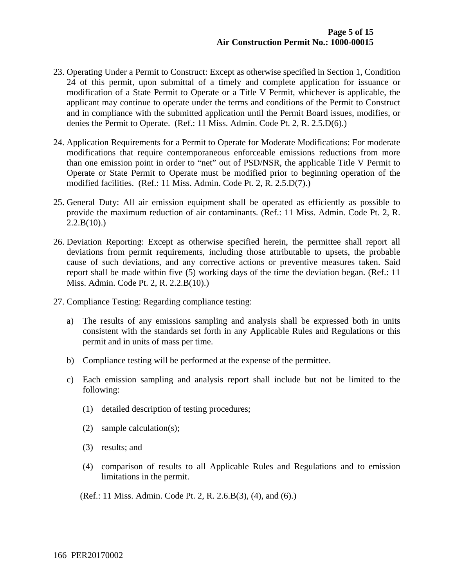- 23. Operating Under a Permit to Construct: Except as otherwise specified in Section 1, Condition 24 of this permit, upon submittal of a timely and complete application for issuance or modification of a State Permit to Operate or a Title V Permit, whichever is applicable, the applicant may continue to operate under the terms and conditions of the Permit to Construct and in compliance with the submitted application until the Permit Board issues, modifies, or denies the Permit to Operate. (Ref.: 11 Miss. Admin. Code Pt. 2, R. 2.5.D(6).)
- 24. Application Requirements for a Permit to Operate for Moderate Modifications: For moderate modifications that require contemporaneous enforceable emissions reductions from more than one emission point in order to "net" out of PSD/NSR, the applicable Title V Permit to Operate or State Permit to Operate must be modified prior to beginning operation of the modified facilities. (Ref.: 11 Miss. Admin. Code Pt. 2, R. 2.5.D(7).)
- 25. General Duty: All air emission equipment shall be operated as efficiently as possible to provide the maximum reduction of air contaminants. (Ref.: 11 Miss. Admin. Code Pt. 2, R.  $2.2.B(10).$
- 26. Deviation Reporting: Except as otherwise specified herein, the permittee shall report all deviations from permit requirements, including those attributable to upsets, the probable cause of such deviations, and any corrective actions or preventive measures taken. Said report shall be made within five (5) working days of the time the deviation began. (Ref.: 11 Miss. Admin. Code Pt. 2, R. 2.2.B(10).)
- 27. Compliance Testing: Regarding compliance testing:
	- a) The results of any emissions sampling and analysis shall be expressed both in units consistent with the standards set forth in any Applicable Rules and Regulations or this permit and in units of mass per time.
	- b) Compliance testing will be performed at the expense of the permittee.
	- c) Each emission sampling and analysis report shall include but not be limited to the following:
		- (1) detailed description of testing procedures;
		- (2) sample calculation(s);
		- (3) results; and
		- (4) comparison of results to all Applicable Rules and Regulations and to emission limitations in the permit.
		- (Ref.: 11 Miss. Admin. Code Pt. 2, R. 2.6.B(3), (4), and (6).)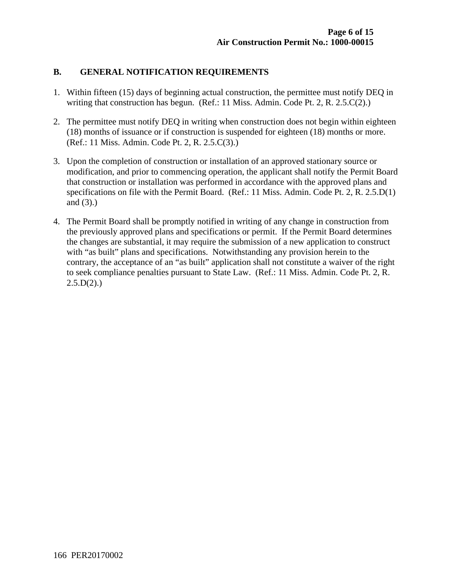#### **B. GENERAL NOTIFICATION REQUIREMENTS**

- 1. Within fifteen (15) days of beginning actual construction, the permittee must notify DEQ in writing that construction has begun. (Ref.: 11 Miss. Admin. Code Pt. 2, R. 2.5.C(2).)
- 2. The permittee must notify DEQ in writing when construction does not begin within eighteen (18) months of issuance or if construction is suspended for eighteen (18) months or more. (Ref.: 11 Miss. Admin. Code Pt. 2, R. 2.5.C(3).)
- 3. Upon the completion of construction or installation of an approved stationary source or modification, and prior to commencing operation, the applicant shall notify the Permit Board that construction or installation was performed in accordance with the approved plans and specifications on file with the Permit Board. (Ref.: 11 Miss. Admin. Code Pt. 2, R. 2.5.D(1) and (3).)
- 4. The Permit Board shall be promptly notified in writing of any change in construction from the previously approved plans and specifications or permit. If the Permit Board determines the changes are substantial, it may require the submission of a new application to construct with "as built" plans and specifications. Notwithstanding any provision herein to the contrary, the acceptance of an "as built" application shall not constitute a waiver of the right to seek compliance penalties pursuant to State Law. (Ref.: 11 Miss. Admin. Code Pt. 2, R.  $2.5.D(2)$ .)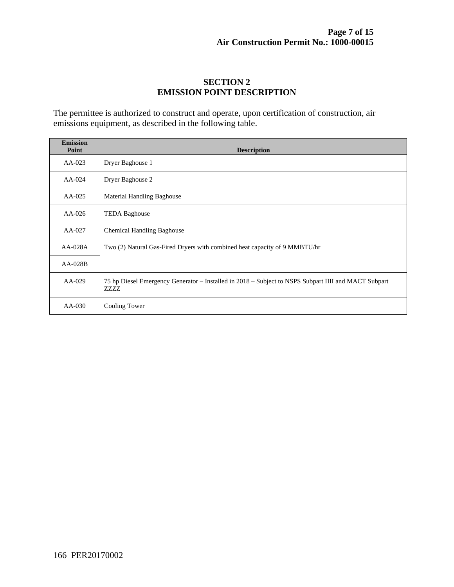#### **SECTION 2 EMISSION POINT DESCRIPTION**

The permittee is authorized to construct and operate, upon certification of construction, air emissions equipment, as described in the following table.

| <b>Emission</b><br>Point | <b>Description</b>                                                                                           |
|--------------------------|--------------------------------------------------------------------------------------------------------------|
| $AA-023$                 | Dryer Baghouse 1                                                                                             |
| $AA-024$                 | Dryer Baghouse 2                                                                                             |
| $AA-025$                 | <b>Material Handling Baghouse</b>                                                                            |
| $AA-026$                 | <b>TEDA Baghouse</b>                                                                                         |
| AA-027                   | <b>Chemical Handling Baghouse</b>                                                                            |
| $AA-028A$                | Two (2) Natural Gas-Fired Dryers with combined heat capacity of 9 MMBTU/hr                                   |
| $AA-028B$                |                                                                                                              |
| $AA-029$                 | 75 hp Diesel Emergency Generator – Installed in 2018 – Subject to NSPS Subpart IIII and MACT Subpart<br>ZZZZ |
| $AA-030$                 | Cooling Tower                                                                                                |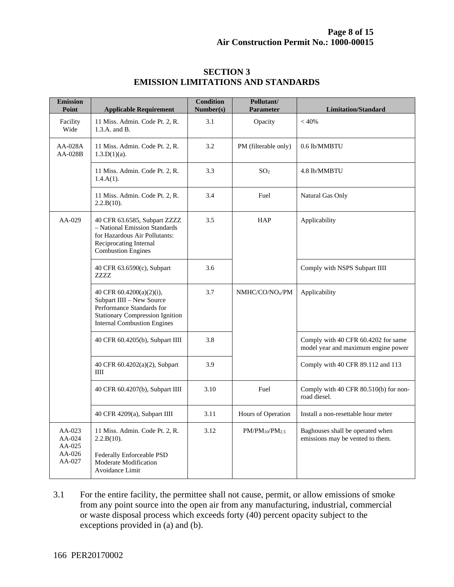| <b>Emission</b><br>Point                         | <b>Applicable Requirement</b>                                                                                                                                      | <b>Condition</b><br>Number(s) | Pollutant/<br><b>Parameter</b> | <b>Limitation/Standard</b>                                                 |
|--------------------------------------------------|--------------------------------------------------------------------------------------------------------------------------------------------------------------------|-------------------------------|--------------------------------|----------------------------------------------------------------------------|
| Facility<br>Wide                                 | 11 Miss. Admin. Code Pt. 2, R.<br>1.3.A. and B.                                                                                                                    | 3.1                           | Opacity                        | < 40%                                                                      |
| $AA-028A$<br>AA-028B                             | 11 Miss. Admin. Code Pt. 2, R.<br>$1.3.D(1)(a)$ .                                                                                                                  | 3.2                           | PM (filterable only)           | 0.6 lb/MMBTU                                                               |
|                                                  | 11 Miss. Admin. Code Pt. 2, R.<br>$1.4.A(1)$ .                                                                                                                     | 3.3                           | SO <sub>2</sub>                | 4.8 lb/MMBTU                                                               |
|                                                  | 11 Miss. Admin. Code Pt. 2, R.<br>2.2.B(10).                                                                                                                       | 3.4                           | Fuel                           | Natural Gas Only                                                           |
| AA-029                                           | 40 CFR 63.6585, Subpart ZZZZ<br>- National Emission Standards<br>for Hazardous Air Pollutants:<br>Reciprocating Internal<br><b>Combustion Engines</b>              | 3.5                           | <b>HAP</b>                     | Applicability                                                              |
|                                                  | 40 CFR 63.6590(c), Subpart<br>ZZZZ                                                                                                                                 | 3.6                           |                                | Comply with NSPS Subpart IIII                                              |
|                                                  | 40 CFR 60.4200(a)(2)(i),<br>Subpart IIII - New Source<br>Performance Standards for<br><b>Stationary Compression Ignition</b><br><b>Internal Combustion Engines</b> | 3.7                           | NMHC/CO/NO <sub>x</sub> /PM    | Applicability                                                              |
|                                                  | 40 CFR 60.4205(b), Subpart IIII                                                                                                                                    | 3.8                           |                                | Comply with 40 CFR 60.4202 for same<br>model year and maximum engine power |
|                                                  | 40 CFR 60.4202(a)(2), Subpart<br>III                                                                                                                               | 3.9                           |                                | Comply with 40 CFR 89.112 and 113                                          |
|                                                  | 40 CFR 60.4207(b), Subpart IIII                                                                                                                                    | 3.10                          | Fuel                           | Comply with 40 CFR 80.510(b) for non-<br>road diesel.                      |
|                                                  | 40 CFR 4209(a), Subpart IIII                                                                                                                                       | 3.11                          | Hours of Operation             | Install a non-resettable hour meter                                        |
| $AA-023$<br>AA-024<br>AA-025<br>AA-026<br>AA-027 | 11 Miss. Admin. Code Pt. 2, R.<br>2.2.B(10).<br>Federally Enforceable PSD<br>Moderate Modification<br>Avoidance Limit                                              | 3.12                          | $PM/PM_{10}/PM_{2.5}$          | Baghouses shall be operated when<br>emissions may be vented to them.       |

#### **SECTION 3 EMISSION LIMITATIONS AND STANDARDS**

3.1 For the entire facility, the permittee shall not cause, permit, or allow emissions of smoke from any point source into the open air from any manufacturing, industrial, commercial or waste disposal process which exceeds forty (40) percent opacity subject to the exceptions provided in (a) and (b).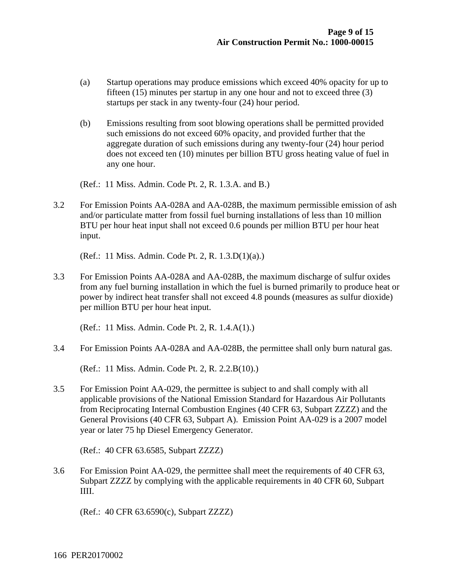- (a) Startup operations may produce emissions which exceed 40% opacity for up to fifteen (15) minutes per startup in any one hour and not to exceed three (3) startups per stack in any twenty-four (24) hour period.
- (b) Emissions resulting from soot blowing operations shall be permitted provided such emissions do not exceed 60% opacity, and provided further that the aggregate duration of such emissions during any twenty-four (24) hour period does not exceed ten (10) minutes per billion BTU gross heating value of fuel in any one hour.

(Ref.: 11 Miss. Admin. Code Pt. 2, R. 1.3.A. and B.)

3.2 For Emission Points AA-028A and AA-028B, the maximum permissible emission of ash and/or particulate matter from fossil fuel burning installations of less than 10 million BTU per hour heat input shall not exceed 0.6 pounds per million BTU per hour heat input.

(Ref.: 11 Miss. Admin. Code Pt. 2, R. 1.3.D(1)(a).)

3.3 For Emission Points AA-028A and AA-028B, the maximum discharge of sulfur oxides from any fuel burning installation in which the fuel is burned primarily to produce heat or power by indirect heat transfer shall not exceed 4.8 pounds (measures as sulfur dioxide) per million BTU per hour heat input.

(Ref.: 11 Miss. Admin. Code Pt. 2, R. 1.4.A(1).)

3.4 For Emission Points AA-028A and AA-028B, the permittee shall only burn natural gas.

(Ref.: 11 Miss. Admin. Code Pt. 2, R. 2.2.B(10).)

3.5 For Emission Point AA-029, the permittee is subject to and shall comply with all applicable provisions of the National Emission Standard for Hazardous Air Pollutants from Reciprocating Internal Combustion Engines (40 CFR 63, Subpart ZZZZ) and the General Provisions (40 CFR 63, Subpart A). Emission Point AA-029 is a 2007 model year or later 75 hp Diesel Emergency Generator.

(Ref.: 40 CFR 63.6585, Subpart ZZZZ)

3.6 For Emission Point AA-029, the permittee shall meet the requirements of 40 CFR 63, Subpart ZZZZ by complying with the applicable requirements in 40 CFR 60, Subpart IIII.

(Ref.: 40 CFR 63.6590(c), Subpart ZZZZ)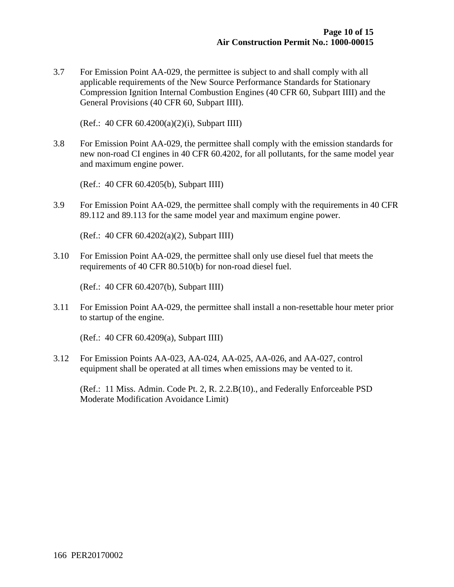3.7 For Emission Point AA-029, the permittee is subject to and shall comply with all applicable requirements of the New Source Performance Standards for Stationary Compression Ignition Internal Combustion Engines (40 CFR 60, Subpart IIII) and the General Provisions (40 CFR 60, Subpart IIII).

(Ref.: 40 CFR 60.4200(a)(2)(i), Subpart IIII)

3.8 For Emission Point AA-029, the permittee shall comply with the emission standards for new non-road CI engines in 40 CFR 60.4202, for all pollutants, for the same model year and maximum engine power.

(Ref.: 40 CFR 60.4205(b), Subpart IIII)

3.9 For Emission Point AA-029, the permittee shall comply with the requirements in 40 CFR 89.112 and 89.113 for the same model year and maximum engine power.

(Ref.: 40 CFR 60.4202(a)(2), Subpart IIII)

3.10 For Emission Point AA-029, the permittee shall only use diesel fuel that meets the requirements of 40 CFR 80.510(b) for non-road diesel fuel.

(Ref.: 40 CFR 60.4207(b), Subpart IIII)

3.11 For Emission Point AA-029, the permittee shall install a non-resettable hour meter prior to startup of the engine.

(Ref.: 40 CFR 60.4209(a), Subpart IIII)

3.12 For Emission Points AA-023, AA-024, AA-025, AA-026, and AA-027, control equipment shall be operated at all times when emissions may be vented to it.

 (Ref.: 11 Miss. Admin. Code Pt. 2, R. 2.2.B(10)., and Federally Enforceable PSD Moderate Modification Avoidance Limit)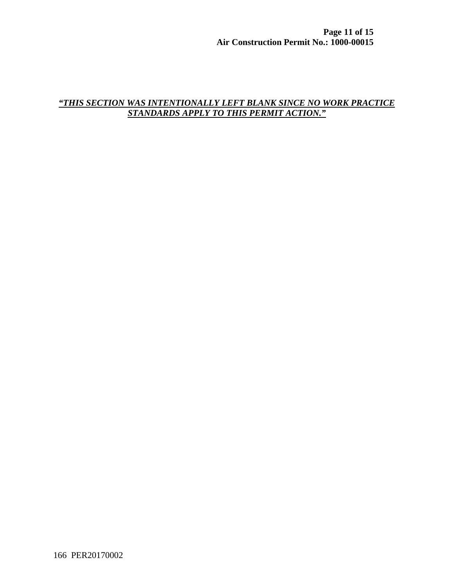#### *"THIS SECTION WAS INTENTIONALLY LEFT BLANK SINCE NO WORK PRACTICE STANDARDS APPLY TO THIS PERMIT ACTION."*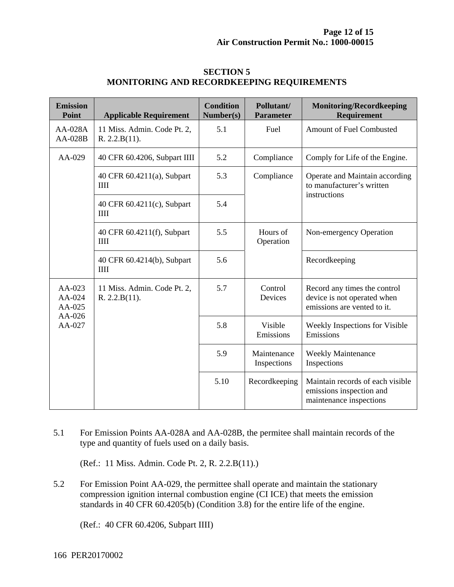| <b>Emission</b><br><b>Point</b> | <b>Applicable Requirement</b>                | <b>Condition</b><br>Number(s) | Pollutant/<br><b>Parameter</b> | <b>Monitoring/Recordkeeping</b><br>Requirement                                             |
|---------------------------------|----------------------------------------------|-------------------------------|--------------------------------|--------------------------------------------------------------------------------------------|
| AA-028A<br>AA-028B              | 11 Miss. Admin. Code Pt. 2,<br>R. 2.2.B(11). | 5.1                           | Fuel                           | <b>Amount of Fuel Combusted</b>                                                            |
| $AA-029$                        | 40 CFR 60.4206, Subpart IIII                 | 5.2                           | Compliance                     | Comply for Life of the Engine.                                                             |
|                                 | 40 CFR 60.4211(a), Subpart<br>IIII           | 5.3                           | Compliance                     | Operate and Maintain according<br>to manufacturer's written<br>instructions                |
|                                 | 40 CFR 60.4211(c), Subpart<br>IIII           | 5.4                           |                                |                                                                                            |
|                                 | 40 CFR 60.4211(f), Subpart<br>IIII           | 5.5                           | Hours of<br>Operation          | Non-emergency Operation                                                                    |
|                                 | 40 CFR 60.4214(b), Subpart<br>III            | 5.6                           |                                | Recordkeeping                                                                              |
| $AA-023$<br>AA-024<br>AA-025    | 11 Miss. Admin. Code Pt. 2,<br>R. 2.2.B(11). | 5.7                           | Control<br>Devices             | Record any times the control<br>device is not operated when<br>emissions are vented to it. |
| AA-026<br>AA-027                |                                              | 5.8                           | Visible<br>Emissions           | Weekly Inspections for Visible<br>Emissions                                                |
|                                 |                                              | 5.9                           | Maintenance<br>Inspections     | <b>Weekly Maintenance</b><br>Inspections                                                   |
|                                 |                                              | 5.10                          | Recordkeeping                  | Maintain records of each visible<br>emissions inspection and<br>maintenance inspections    |

#### **SECTION 5 MONITORING AND RECORDKEEPING REQUIREMENTS**

5.1 For Emission Points AA-028A and AA-028B, the permitee shall maintain records of the type and quantity of fuels used on a daily basis.

(Ref.: 11 Miss. Admin. Code Pt. 2, R. 2.2.B(11).)

5.2 For Emission Point AA-029, the permittee shall operate and maintain the stationary compression ignition internal combustion engine (CI ICE) that meets the emission standards in 40 CFR 60.4205(b) (Condition 3.8) for the entire life of the engine.

(Ref.: 40 CFR 60.4206, Subpart IIII)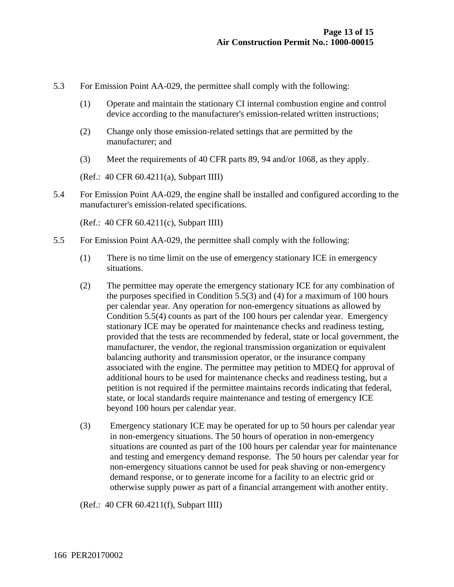- 5.3 For Emission Point AA-029, the permittee shall comply with the following:
	- (1) Operate and maintain the stationary CI internal combustion engine and control device according to the manufacturer's emission-related written instructions;
	- (2) Change only those emission-related settings that are permitted by the manufacturer; and
	- (3) Meet the requirements of 40 CFR parts 89, 94 and/or 1068, as they apply.

(Ref.: 40 CFR 60.4211(a), Subpart IIII)

5.4 For Emission Point AA-029, the engine shall be installed and configured according to the manufacturer's emission-related specifications.

(Ref.: 40 CFR 60.4211(c), Subpart IIII)

- 5.5 For Emission Point AA-029, the permittee shall comply with the following:
	- (1) There is no time limit on the use of emergency stationary ICE in emergency situations.
	- (2) The permittee may operate the emergency stationary ICE for any combination of the purposes specified in Condition 5.5(3) and (4) for a maximum of 100 hours per calendar year. Any operation for non-emergency situations as allowed by Condition 5.5(4) counts as part of the 100 hours per calendar year. Emergency stationary ICE may be operated for maintenance checks and readiness testing, provided that the tests are recommended by federal, state or local government, the manufacturer, the vendor, the regional transmission organization or equivalent balancing authority and transmission operator, or the insurance company associated with the engine. The permittee may petition to MDEQ for approval of additional hours to be used for maintenance checks and readiness testing, but a petition is not required if the permittee maintains records indicating that federal, state, or local standards require maintenance and testing of emergency ICE beyond 100 hours per calendar year.
	- (3) Emergency stationary ICE may be operated for up to 50 hours per calendar year in non-emergency situations. The 50 hours of operation in non-emergency situations are counted as part of the 100 hours per calendar year for maintenance and testing and emergency demand response. The 50 hours per calendar year for non-emergency situations cannot be used for peak shaving or non-emergency demand response, or to generate income for a facility to an electric grid or otherwise supply power as part of a financial arrangement with another entity.

(Ref.: 40 CFR 60.4211(f), Subpart IIII)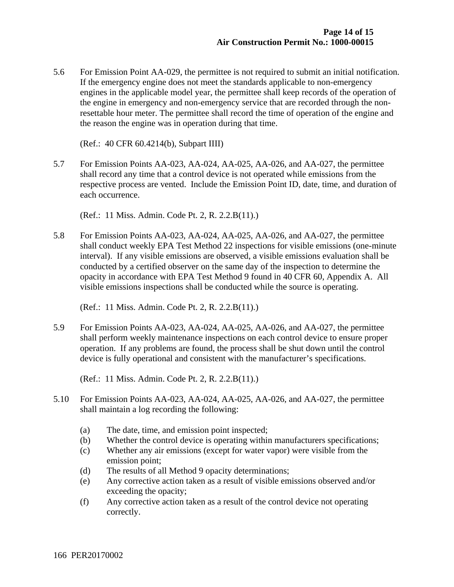5.6 For Emission Point AA-029, the permittee is not required to submit an initial notification. If the emergency engine does not meet the standards applicable to non-emergency engines in the applicable model year, the permittee shall keep records of the operation of the engine in emergency and non-emergency service that are recorded through the nonresettable hour meter. The permittee shall record the time of operation of the engine and the reason the engine was in operation during that time.

(Ref.: 40 CFR 60.4214(b), Subpart IIII)

5.7 For Emission Points AA-023, AA-024, AA-025, AA-026, and AA-027, the permittee shall record any time that a control device is not operated while emissions from the respective process are vented. Include the Emission Point ID, date, time, and duration of each occurrence.

(Ref.: 11 Miss. Admin. Code Pt. 2, R. 2.2.B(11).)

5.8 For Emission Points AA-023, AA-024, AA-025, AA-026, and AA-027, the permittee shall conduct weekly EPA Test Method 22 inspections for visible emissions (one-minute interval). If any visible emissions are observed, a visible emissions evaluation shall be conducted by a certified observer on the same day of the inspection to determine the opacity in accordance with EPA Test Method 9 found in 40 CFR 60, Appendix A. All visible emissions inspections shall be conducted while the source is operating.

(Ref.: 11 Miss. Admin. Code Pt. 2, R. 2.2.B(11).)

5.9 For Emission Points AA-023, AA-024, AA-025, AA-026, and AA-027, the permittee shall perform weekly maintenance inspections on each control device to ensure proper operation. If any problems are found, the process shall be shut down until the control device is fully operational and consistent with the manufacturer's specifications.

(Ref.: 11 Miss. Admin. Code Pt. 2, R. 2.2.B(11).)

- 5.10 For Emission Points AA-023, AA-024, AA-025, AA-026, and AA-027, the permittee shall maintain a log recording the following:
	- (a) The date, time, and emission point inspected;
	- (b) Whether the control device is operating within manufacturers specifications;
	- (c) Whether any air emissions (except for water vapor) were visible from the emission point;
	- (d) The results of all Method 9 opacity determinations;
	- (e) Any corrective action taken as a result of visible emissions observed and/or exceeding the opacity;
	- (f) Any corrective action taken as a result of the control device not operating correctly.